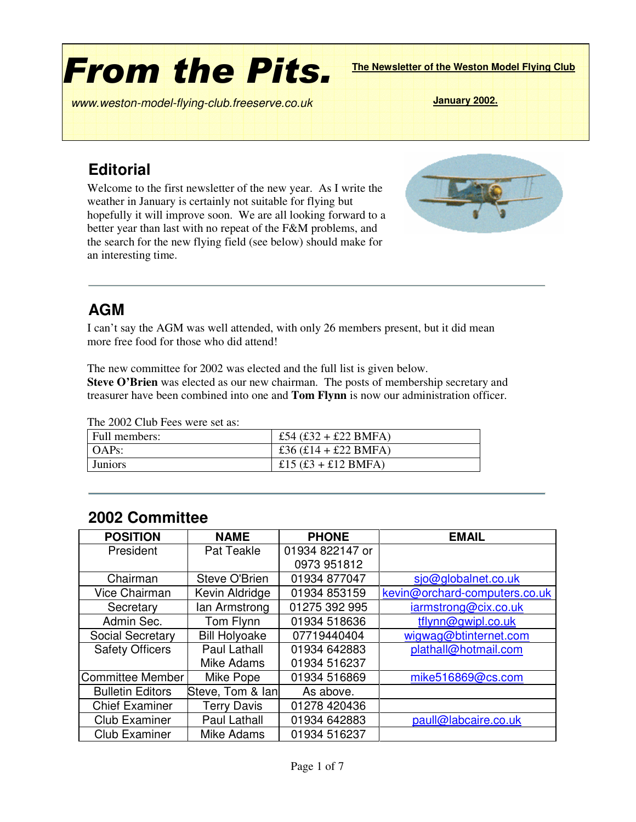# **From the Pits.**

**The Newsletter of the Weston Model Flying Club**

*www* **January 2002.** *.weston-model-flying-club.freeserve.co.uk*

### **Editorial**

Welcome to the first newsletter of the new year. As I write the weather in January is certainly not suitable for flying but hopefully it will improve soon. We are all looking forward to a better year than last with no repeat of the F&M problems, and the search for the new flying field (see below) should make for an interesting time.



#### **AGM**

I can't say the AGM was well attended, with only 26 members present, but it did mean more free food for those who did attend!

The new committee for 2002 was elected and the full list is given below.

**Steve O'Brien** was elected as our new chairman. The posts of membership secretary and treasurer have been combined into one and **Tom Flynn** is now our administration officer.

The 2002 Club Fees were set as:

| Eull members:  | £54 (£32 + £22 BMFA)   |
|----------------|------------------------|
| OAPs:          | £36 $(£14 + £22$ BMFA) |
| <b>Juniors</b> | £15 $(E3 + E12$ BMFA)  |

| <b>POSITION</b>         | <b>NAME</b>          | <b>PHONE</b>    | <b>EMAIL</b>                  |  |  |  |  |  |
|-------------------------|----------------------|-----------------|-------------------------------|--|--|--|--|--|
| President               | Pat Teakle           | 01934 822147 or |                               |  |  |  |  |  |
|                         |                      | 0973 951812     |                               |  |  |  |  |  |
| Chairman                | Steve O'Brien        | 01934 877047    | sjo@globalnet.co.uk           |  |  |  |  |  |
| Vice Chairman           | Kevin Aldridge       | 01934 853159    | kevin@orchard-computers.co.uk |  |  |  |  |  |
| Secretary               | lan Armstrong        | 01275 392 995   | iarmstrong@cix.co.uk          |  |  |  |  |  |
| Admin Sec.              | Tom Flynn            | 01934 518636    | tflynn@gwipl.co.uk            |  |  |  |  |  |
| Social Secretary        | <b>Bill Holyoake</b> | 07719440404     | wigwag@btinternet.com         |  |  |  |  |  |
| <b>Safety Officers</b>  | Paul Lathall         | 01934 642883    | plathall@hotmail.com          |  |  |  |  |  |
|                         | Mike Adams           | 01934 516237    |                               |  |  |  |  |  |
| <b>Committee Member</b> | Mike Pope            | 01934 516869    | mike516869@cs.com             |  |  |  |  |  |
| <b>Bulletin Editors</b> | Steve, Tom & lan     | As above.       |                               |  |  |  |  |  |
| <b>Chief Examiner</b>   | <b>Terry Davis</b>   | 01278 420436    |                               |  |  |  |  |  |
| <b>Club Examiner</b>    | Paul Lathall         | 01934 642883    | paull@labcaire.co.uk          |  |  |  |  |  |
| <b>Club Examiner</b>    | Mike Adams           | 01934 516237    |                               |  |  |  |  |  |

#### **2002 Committee**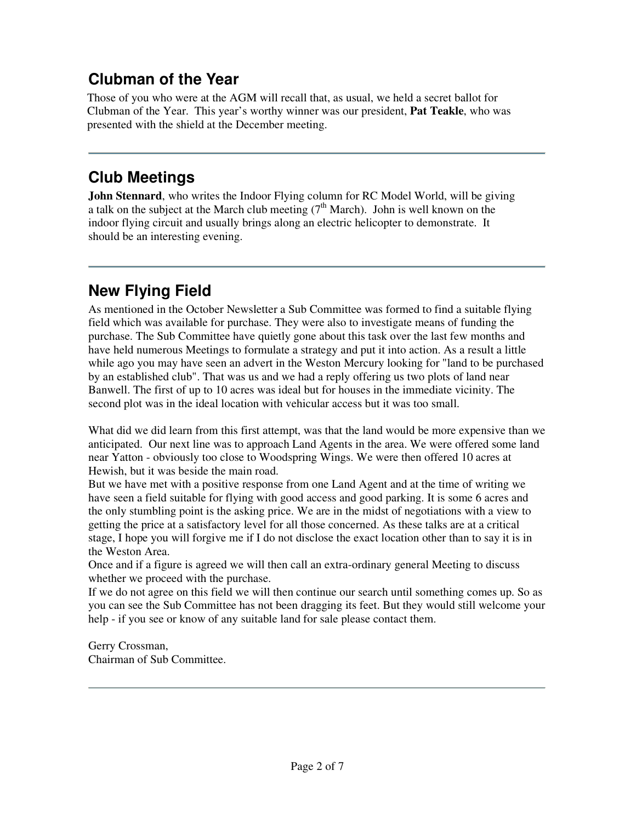# **Clubman of the Year**

Those of you who were at the AGM will recall that, as usual, we held a secret ballot for Clubman of the Year. This year's worthy winner was our president, **Pat Teakle**, who was presented with the shield at the December meeting.

# **Club Meetings**

**John Stennard**, who writes the Indoor Flying column for RC Model World, will be giving a talk on the subject at the March club meeting  $(7<sup>th</sup> March)$ . John is well known on the indoor flying circuit and usually brings along an electric helicopter to demonstrate. It should be an interesting evening.

# **New Flying Field**

As mentioned in the October Newsletter a Sub Committee was formed to find a suitable flying field which was available for purchase. They were also to investigate means of funding the purchase. The Sub Committee have quietly gone about this task over the last few months and have held numerous Meetings to formulate a strategy and put it into action. As a result a little while ago you may have seen an advert in the Weston Mercury looking for "land to be purchased by an established club". That was us and we had a reply offering us two plots of land near Banwell. The first of up to 10 acres was ideal but for houses in the immediate vicinity. The second plot was in the ideal location with vehicular access but it was too small.

What did we did learn from this first attempt, was that the land would be more expensive than we anticipated. Our next line was to approach Land Agents in the area. We were offered some land near Yatton - obviously too close to Woodspring Wings. We were then offered 10 acres at Hewish, but it was beside the main road.

But we have met with a positive response from one Land Agent and at the time of writing we have seen a field suitable for flying with good access and good parking. It is some 6 acres and the only stumbling point is the asking price. We are in the midst of negotiations with a view to getting the price at a satisfactory level for all those concerned. As these talks are at a critical stage, I hope you will forgive me if I do not disclose the exact location other than to say it is in the Weston Area.

Once and if a figure is agreed we will then call an extra-ordinary general Meeting to discuss whether we proceed with the purchase.

If we do not agree on this field we will then continue our search until something comes up. So as you can see the Sub Committee has not been dragging its feet. But they would still welcome your help - if you see or know of any suitable land for sale please contact them.

Gerry Crossman, Chairman of Sub Committee.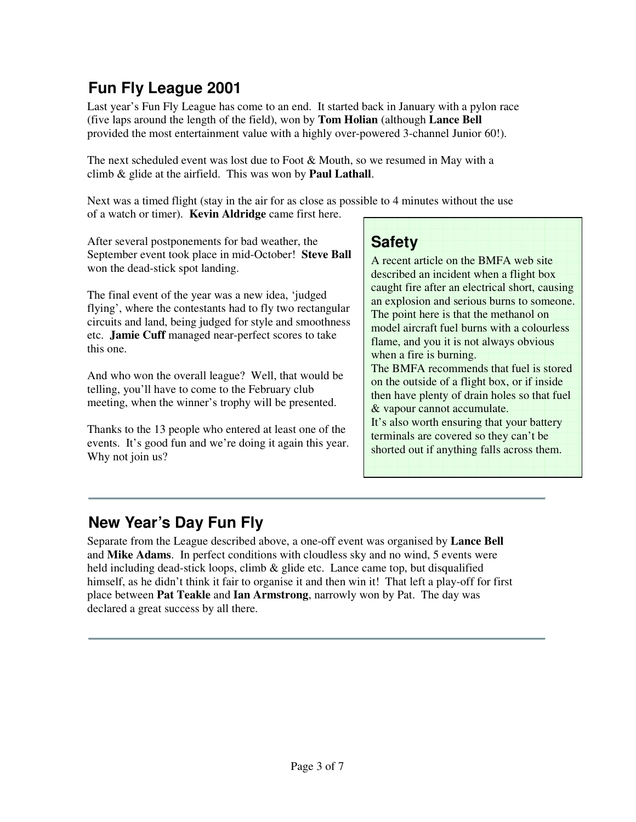# **Fun Fly League 2001**

Last year's Fun Fly League has come to an end. It started back in January with a pylon race (five laps around the length of the field), won by **Tom Holian** (although **Lance Bell** provided the most entertainment value with a highly over-powered 3-channel Junior 60!).

The next scheduled event was lost due to Foot & Mouth, so we resumed in May with a climb & glide at the airfield. This was won by **Paul Lathall**.

Next was a timed flight (stay in the air for as close as possible to 4 minutes without the use of a watch or timer). **Kevin Aldridge** came first here.

After several postponements for bad weather, the September event took place in mid-October! **Steve Ball** won the dead-stick spot landing.

The final event of the year was a new idea, 'judged flying', where the contestants had to fly two rectangular circuits and land, being judged for style and smoothness etc. **Jamie Cuff** managed near-perfect scores to take this one.

And who won the overall league? Well, that would be telling, you'll have to come to the February club meeting, when the winner's trophy will be presented.

Thanks to the 13 people who entered at least one of the events. It's good fun and we're doing it again this year. Why not join us?

#### **Safety**

A recent article on the BMFA web site described an incident when a flight box caught fire after an electrical short, causing an explosion and serious burns to someone. The point here is that the methanol on model aircraft fuel burns with a colourless flame, and you it is not always obvious when a fire is burning. The BMFA recommends that fuel is stored on the outside of a flight box, or if inside then have plenty of drain holes so that fuel & vapour cannot accumulate. It's also worth ensuring that your battery terminals are covered so they can't be shorted out if anything falls across them.

## **New Year's Day Fun Fly**

Separate from the League described above, a one-off event was organised by **Lance Bell** and **Mike Adams**. In perfect conditions with cloudless sky and no wind, 5 events were held including dead-stick loops, climb & glide etc. Lance came top, but disqualified himself, as he didn't think it fair to organise it and then win it! That left a play-off for first place between **Pat Teakle** and **Ian Armstrong**, narrowly won by Pat. The day was declared a great success by all there.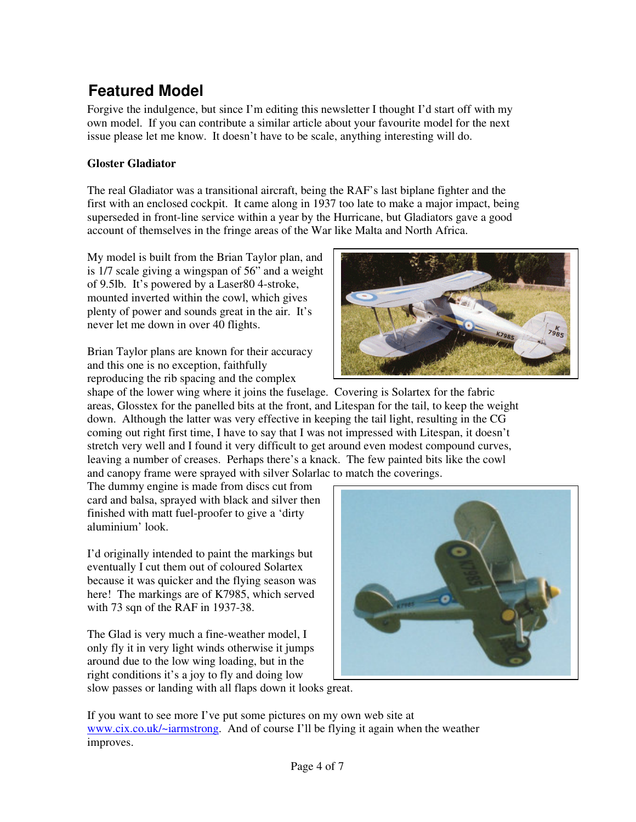# **Featured Model**

Forgive the indulgence, but since I'm editing this newsletter I thought I'd start off with my own model. If you can contribute a similar article about your favourite model for the next issue please let me know. It doesn't have to be scale, anything interesting will do.

#### **Gloster Gladiator**

The real Gladiator was a transitional aircraft, being the RAF's last biplane fighter and the first with an enclosed cockpit. It came along in 1937 too late to make a major impact, being superseded in front-line service within a year by the Hurricane, but Gladiators gave a good account of themselves in the fringe areas of the War like Malta and North Africa.

My model is built from the Brian Taylor plan, and is 1/7 scale giving a wingspan of 56" and a weight of 9.5lb. It's powered by a Laser80 4-stroke, mounted inverted within the cowl, which gives plenty of power and sounds great in the air. It's never let me down in over 40 flights.

Brian Taylor plans are known for their accuracy and this one is no exception, faithfully reproducing the rib spacing and the complex



shape of the lower wing where it joins the fuselage. Covering is Solartex for the fabric areas, Glosstex for the panelled bits at the front, and Litespan for the tail, to keep the weight down. Although the latter was very effective in keeping the tail light, resulting in the CG coming out right first time, I have to say that I was not impressed with Litespan, it doesn't stretch very well and I found it very difficult to get around even modest compound curves, leaving a number of creases. Perhaps there's a knack. The few painted bits like the cowl and canopy frame were sprayed with silver Solarlac to match the coverings.

The dummy engine is made from discs cut from card and balsa, sprayed with black and silver then finished with matt fuel-proofer to give a 'dirty aluminium' look.

I'd originally intended to paint the markings but eventually I cut them out of coloured Solartex because it was quicker and the flying season was here! The markings are of K7985, which served with 73 sqn of the RAF in 1937-38.

The Glad is very much a fine-weather model, I only fly it in very light winds otherwise it jumps around due to the low wing loading, but in the right conditions it's a joy to fly and doing low slow passes or landing with all flaps down it looks great.



If you want to see more I've put some pictures on my own web site at www.cix.co.uk/~iarmstrong. And of course I'll be flying it again when the weather improves.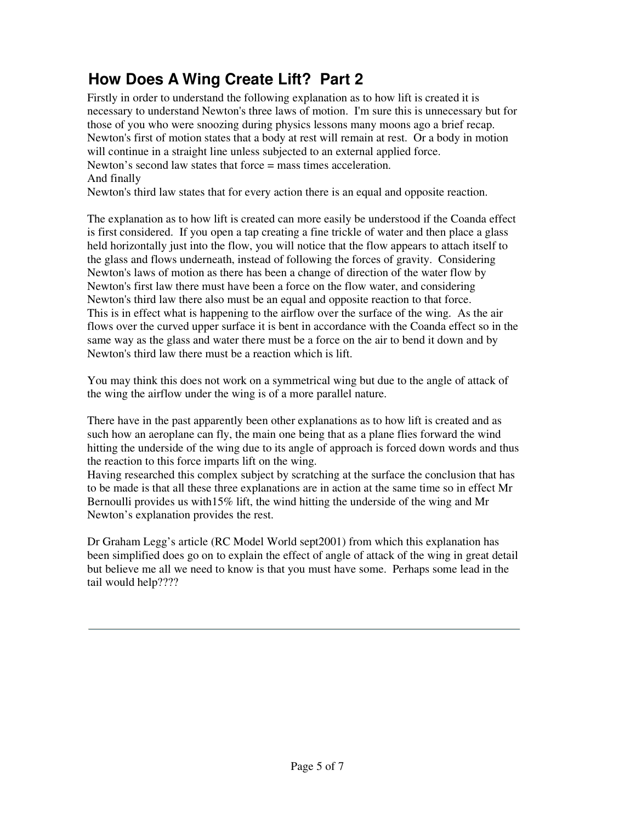# **How Does A Wing Create Lift? Part 2**

Firstly in order to understand the following explanation as to how lift is created it is necessary to understand Newton's three laws of motion. I'm sure this is unnecessary but for those of you who were snoozing during physics lessons many moons ago a brief recap. Newton's first of motion states that a body at rest will remain at rest. Or a body in motion will continue in a straight line unless subjected to an external applied force. Newton's second law states that force = mass times acceleration. And finally

Newton's third law states that for every action there is an equal and opposite reaction.

The explanation as to how lift is created can more easily be understood if the Coanda effect is first considered. If you open a tap creating a fine trickle of water and then place a glass held horizontally just into the flow, you will notice that the flow appears to attach itself to the glass and flows underneath, instead of following the forces of gravity. Considering Newton's laws of motion as there has been a change of direction of the water flow by Newton's first law there must have been a force on the flow water, and considering Newton's third law there also must be an equal and opposite reaction to that force. This is in effect what is happening to the airflow over the surface of the wing. As the air flows over the curved upper surface it is bent in accordance with the Coanda effect so in the same way as the glass and water there must be a force on the air to bend it down and by Newton's third law there must be a reaction which is lift.

You may think this does not work on a symmetrical wing but due to the angle of attack of the wing the airflow under the wing is of a more parallel nature.

There have in the past apparently been other explanations as to how lift is created and as such how an aeroplane can fly, the main one being that as a plane flies forward the wind hitting the underside of the wing due to its angle of approach is forced down words and thus the reaction to this force imparts lift on the wing.

Having researched this complex subject by scratching at the surface the conclusion that has to be made is that all these three explanations are in action at the same time so in effect Mr Bernoulli provides us with15% lift, the wind hitting the underside of the wing and Mr Newton's explanation provides the rest.

Dr Graham Legg's article (RC Model World sept2001) from which this explanation has been simplified does go on to explain the effect of angle of attack of the wing in great detail but believe me all we need to know is that you must have some. Perhaps some lead in the tail would help????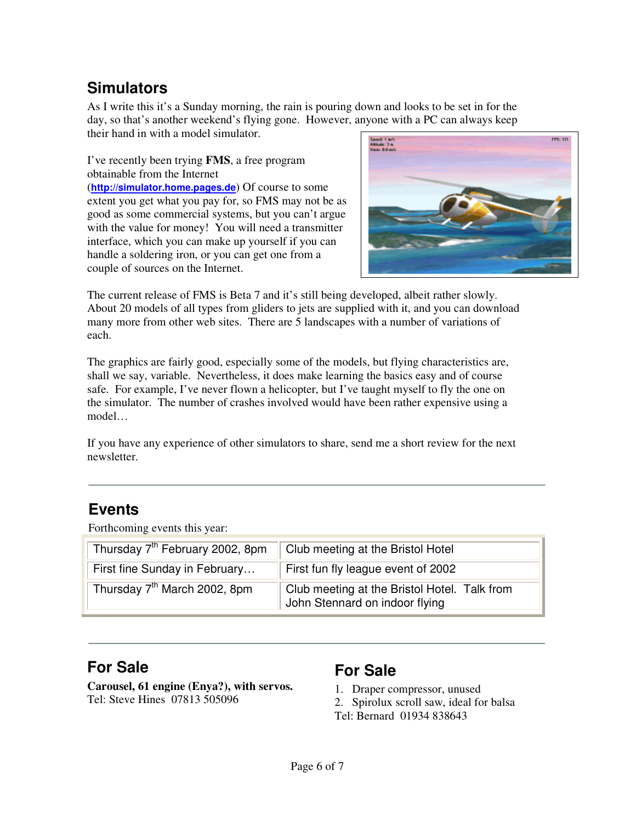# **Simulators**

As I write this it's a Sunday morning, the rain is pouring down and looks to be set in for the day, so that's another weekend's flying gone. However, anyone with a PC can always keep their hand in with a model simulator.

I've recently been trying **FMS**, a free program obtainable from the Internet

(**http://simulator.home.pages.de**) Of course to some extent you get what you pay for, so FMS may not be as good as some commercial systems, but you can't argue with the value for money! You will need a transmitter interface, which you can make up yourself if you can handle a soldering iron, or you can get one from a couple of sources on the Internet.



The current release of FMS is Beta 7 and it's still being developed, albeit rather slowly. About 20 models of all types from gliders to jets are supplied with it, and you can download many more from other web sites. There are 5 landscapes with a number of variations of each.

The graphics are fairly good, especially some of the models, but flying characteristics are, shall we say, variable. Nevertheless, it does make learning the basics easy and of course safe. For example, I've never flown a helicopter, but I've taught myself to fly the one on the simulator. The number of crashes involved would have been rather expensive using a model…

If you have any experience of other simulators to share, send me a short review for the next newsletter.

#### **Events**

Forthcoming events this year:

| Thursday 7 <sup>th</sup> February 2002, 8pm | Club meeting at the Bristol Hotel                                              |
|---------------------------------------------|--------------------------------------------------------------------------------|
| First fine Sunday in February               | First fun fly league event of 2002                                             |
| Thursday 7 <sup>th</sup> March 2002, 8pm    | Club meeting at the Bristol Hotel. Talk from<br>John Stennard on indoor flying |

#### **For Sale**

**Carousel, 61 engine (Enya?), with servos.** Tel: Steve Hines 07813 505096

#### **For Sale**

- 1. Draper compressor, unused
- 2. Spirolux scroll saw, ideal for balsa
- Tel: Bernard 01934 838643